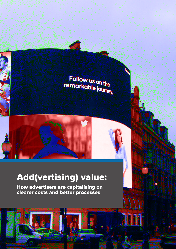# Follow us on the rollow us on the<br>remarkable journey.

## Add(vertising) value:

How advertisers are capitalising on clearer costs and better processes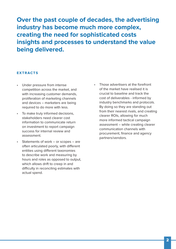**Over the past couple of decades, the advertising industry has become much more complex, creating the need for sophisticated costs insights and processes to understand the value being delivered.**

#### **EXTRACTS**

- Under pressure from intense competition across the market, and with increasing customer demands, proliferation of marketing channels and devices – marketers are being required to do more with less.
- To make truly informed decisions, stakeholders need clearer cost information to communicate return on investment to report campaign success for internal review and assessment.
- Statements of work or scopes are often articulated poorly, with different entities using different taxonomies to describe work and measuring by hours and roles as opposed to output, which allows drift to creep in and difficulty in reconciling estimates with actual spend.
- Those advertisers at the forefront of the market have realised it is crucial to baseline and track the cost of deliverables - informed by industry benchmarks and protocols. By doing so they are standing out from their nearest rivals, and creating clearer ROIs, allowing for much more informed tactical campaign assessment – while creating clearer communication channels with procurement, finance and agency partners/vendors.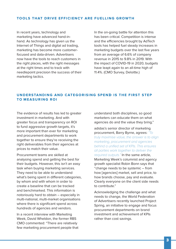#### **TOOLS THAT DRIVE EFFICIENCY ARE FUELLING GROWTH**

In recent years, technology and marketing have advanced hand-inhand. As technology has given us the Internet of Things and digital ad trading, marketing has become more customerfocused and data-driven. Advertisers now have the tools to reach customers in the right places, with the right messages at the right times and to track with needlepoint precision the success of their marketing tactics.

In the on-going battle for attention this has been critical. Competition is intense and the efficiencies brought by AdTech tools has helped fuel steady increases in marketing budgets over the last five years from an average of 6.6% of company revenue in 2015 to 9.8% in 2019. With the impact of COVID-19 in 2020, budgets have leapt again to an all-time high of 11.4%. (CMO Survey, Deloitte.)

### **UNDERSTANDING AND CATEGORISING SPEND IS THE FIRST STEP TO MEASURING ROI**

The evidence of results has led to greater investment in marketing. And with greater focus and transparency on ROI to fund aggressive growth targets, it's more important than ever for marketing and procurement departments to work together to ensure they're receiving the right deliverables from their agencies at prices to match their value.

Procurement teams are skilled at analysing spend and getting the best for their budgets. However, this isn't an easy task when buying marketing services. They need to be able to understand what's being spent in different categories, by whom and with whom in order to create a baseline that can be tracked and benchmarked. This information is notoriously hard to obtain – especially in multi-national, multi-market organisations where there is significant spend across hundreds of agencies and vendors.

In a recent interview with Marketing Week, David Wheldon, the former RBS CMO commented: "There are relatively few marketing procurement people that understand both disciplines, so good marketers can educate them on what agencies do and the value they bring."

adidas's senior director of marketing procurement, Barry Byrne, agrees: "To truly maximise value, the answer is to align marketing, procurement and agencies behind a unified set of KPIs. This ensures all parties work together to deliver the required outputs." In the same article, Marketing Week's columnist and agency growth specialist Robin Bonn says that "change needs to be systemic – from how [agencies] market, sell and price, to how brands choose, pay and evaluate. Clearly everyone on the client side needs to contribute."

Acknowledging the challenge and what needs to change, the World Federation of Advertisers recently launched Project Spring, an initiative to engage and focus procurement departments on brand investment and achievement of KPIs rather than cost savings.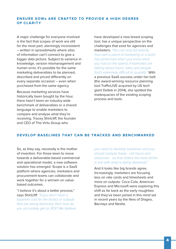### **ENSURE SOWs ARE CRAFTED TO PROVIDE A HIGH DEGREE OF CLARITY**

A major challenge for everyone involved is the fact that scopes of work are still for the most part, alarmingly inconsistent – written in spreadsheets where silos of information can't connect to give a bigger data picture. Subject to variance in knowledge, version mismanagement and human error, it's possible for the same marketing deliverables to be planned, described and priced differently on every separate occasion – even when purchased from the same agency.

Because marketing services have historically been bought by the hour, there hasn't been an industry-wide benchmark of deliverables or a shared language to enable marketers to compare and analyse what they're receiving. Tracey Shirtcliff, the founder and CEO of The Virtu Group who

have developed a new breed scoping tool, has a unique perspective on the challenges that exist for agencies and marketers: "You can only tell exactly how well a piece of marketing or a tactic has performed when you know what you had on the spend. If estimates are talking about hours, rates and people that's extremely difficult to quantify." With a previous SaaS success under her belt (the award-winning resource planning tool TrafficLIVE acquired by US tech giant Deltek in 2014), she spotted the inadequacies of the existing scoping process and tools.

#### **DEVELOP BASELINES THAT CAN BE TRACKED AND BENCHMARKED**

So, as they say, necessity is the mother of invention. For those keen to move towards a deliverable-based commercial and operational model, a new software solution has emerged. Scope is a SaaS platform where agencies, marketers and procurement teams can collaborate and work together for a win/win on valuebased outcomes.

"I believe it's about a better process," says Shirtcliff. "If you don't have a baseline cost for the tactics or outputs that are being delivered, then how do you accurately get an ROI? We believe you need to develop baselines and you should analyse these - not hours and resources - as that makes the most sense in line with what is being delivered."

And it looks like big brands agree. Increasingly, marketers are focusing less on rate cards and timesheets and more on outputs. Coca Cola, American Express and Microsoft were exploring this shift as far back as the early noughties and they've been joined in this mind set in recent years by the likes of Diageo, Barclays and Nestle.